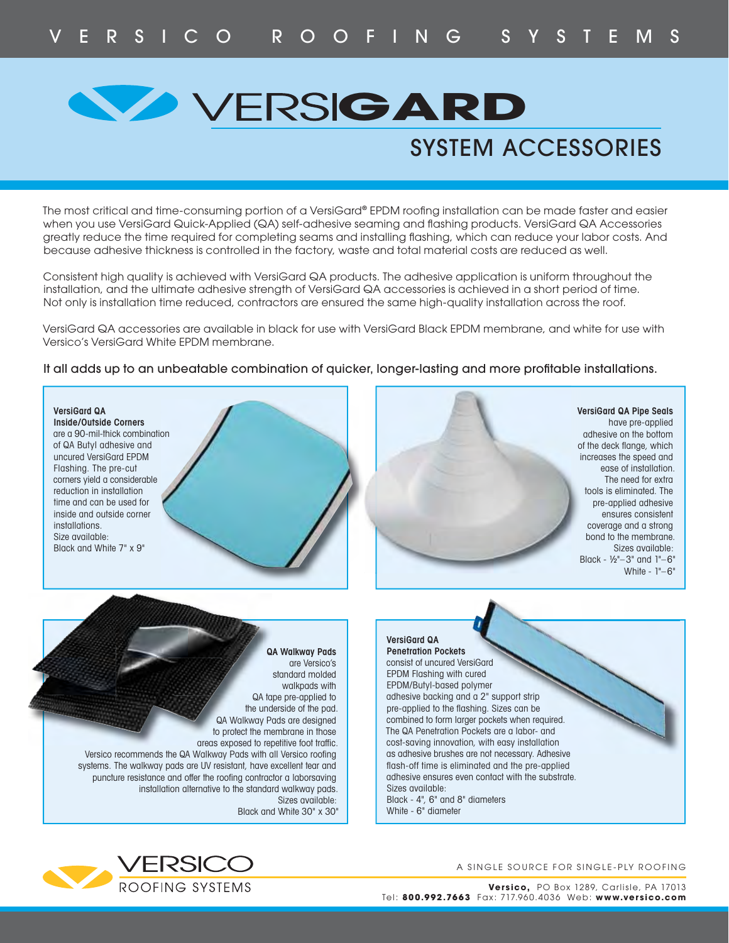## **VERSIGARD**

### SYSTEM ACCESSORIES

The most critical and time-consuming portion of a VersiGard® EPDM roofing installation can be made faster and easier when you use VersiGard Quick-Applied (QA) self-adhesive seaming and flashing products. VersiGard QA Accessories greatly reduce the time required for completing seams and installing flashing, which can reduce your labor costs. And because adhesive thickness is controlled in the factory, waste and total material costs are reduced as well.

Consistent high quality is achieved with VersiGard QA products. The adhesive application is uniform throughout the installation, and the ultimate adhesive strength of VersiGard QA accessories is achieved in a short period of time. Not only is installation time reduced, contractors are ensured the same high-quality installation across the roof.

VersiGard QA accessories are available in black for use with VersiGard Black EPDM membrane, and white for use with Versico's VersiGard White EPDM membrane.

#### It all adds up to an unbeatable combination of quicker, longer-lasting and more profitable installations.





A SINGLE SOURCE FOR SINGLE-PLY ROOFING

**Versico,** PO Box 1289, Carlisle, PA 17013 Tel: **800.992.7663** Fax: 717.960.4 036 Web: **www.versico.com**